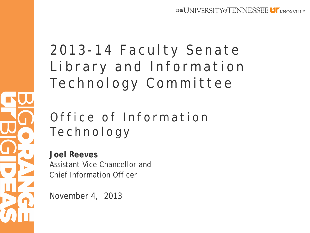# 2013 - 14 Faculty Senate Library and Information Technology Committee

# Office of Information Technology

**Joel Reeves** Assistant Vice Chancellor and Chief Information Officer

November 4, 2013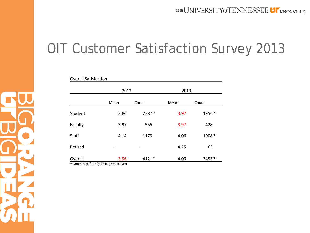# OIT Customer Satisfaction Survey 2013

| <b>Overall Satisfaction</b> |      |        |      |       |  |  |  |
|-----------------------------|------|--------|------|-------|--|--|--|
|                             | 2012 |        | 2013 |       |  |  |  |
|                             | Mean | Count  | Mean | Count |  |  |  |
| Student                     | 3.86 | 2387*  | 3.97 | 1954* |  |  |  |
| Faculty                     | 3.97 | 555    | 3.97 | 428   |  |  |  |
| <b>Staff</b>                | 4.14 | 1179   | 4.06 | 1008* |  |  |  |
| Retired                     |      |        | 4.25 | 63    |  |  |  |
| Overall                     | 3.96 | 4121 * | 4.00 | 3453* |  |  |  |

\* Differs significantly from previous year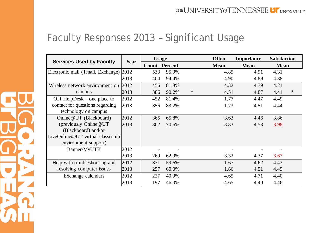#### Faculty Responses 2013 – Significant Usage

| <b>Services Used by Faculty</b>   | Year | <b>Usage</b>         |       | <b>Often</b> | <b>Importance</b> | <b>Satisfaction</b> |             |        |
|-----------------------------------|------|----------------------|-------|--------------|-------------------|---------------------|-------------|--------|
|                                   |      | <b>Count Percent</b> |       |              | <b>Mean</b>       | <b>Mean</b>         | <b>Mean</b> |        |
| Electronic mail (Tmail, Exchange) | 2012 | 533                  | 95.9% |              | 4.85              | 4.91                | 4.31        |        |
|                                   | 2013 | 404                  | 94.4% |              | 4.90              | 4.89                | 4.38        |        |
| Wireless network environment on   | 2012 | 456                  | 81.8% |              | 4.32              | 4.79                | 4.21        |        |
| campus                            | 2013 | 386                  | 90.2% | $\ast$       | 4.51              | 4.87                | 4.41        | $\ast$ |
| OIT HelpDesk – one place to       | 2012 | 452                  | 81.4% |              | 1.77              | 4.47                | 4.49        |        |
| contact for questions regarding   | 2013 | 356                  | 83.2% |              | 1.73              | 4.51                | 4.44        |        |
| technology on campus              |      |                      |       |              |                   |                     |             |        |
| Online@UT (Blackboard)            | 2012 | 365                  | 65.8% |              | 3.63              | 4.46                | 3.86        |        |
| (previously Online@UT)            | 2013 | 302                  | 70.6% |              | 3.83              | 4.53                | 3.98        |        |
| (Blackboard) and/or               |      |                      |       |              |                   |                     |             |        |
| LiveOnline@UT virtual classroom   |      |                      |       |              |                   |                     |             |        |
| environment support)              |      |                      |       |              |                   |                     |             |        |
| Banner/MyUTK                      | 2012 |                      |       |              |                   |                     |             |        |
|                                   | 2013 | 269                  | 62.9% |              | 3.32              | 4.37                | 3.67        |        |
| Help with troubleshooting and     | 2012 | 331                  | 59.6% |              | 1.67              | 4.62                | 4.43        |        |
| resolving computer issues         | 2013 | 257                  | 60.0% |              | 1.66              | 4.51                | 4.49        |        |
| Exchange calendars                | 2012 | 227                  | 40.9% |              | 4.65              | 4.71                | 4.40        |        |
|                                   | 2013 | 197                  | 46.0% |              | 4.65              | 4.40                | 4.46        |        |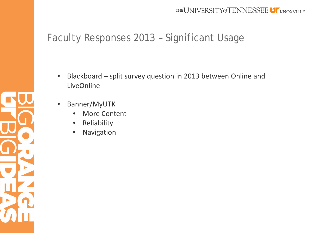## Faculty Responses 2013 – Significant Usage

- Blackboard split survey question in 2013 between Online and LiveOnline
- Banner/MyUTK

- **More Content**
- **Reliability**
- **Navigation**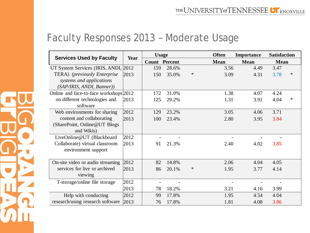#### Faculty Responses 2013 – Moderate Usage

|                                        | Year | <b>Usage</b>         |       |        | <b>Often</b> | Importance  | <b>Satisfaction</b> |        |
|----------------------------------------|------|----------------------|-------|--------|--------------|-------------|---------------------|--------|
| <b>Services Used by Faculty</b>        |      | <b>Count Percent</b> |       |        | <b>Mean</b>  | <b>Mean</b> | <b>Mean</b>         |        |
| UT System Services (IRIS, ANDI, 2012)  |      | 159                  | 28.6% |        | 3.56         | 4.49        | 3.47                |        |
| TERA) (previously Enterprise           | 2013 | 150                  | 35.0% | $\ast$ | 3.09         | 4.31        | 3.78                | $\ast$ |
| systems and applications               |      |                      |       |        |              |             |                     |        |
| (SAP/IRIS, ANDI, Banner))              |      |                      |       |        |              |             |                     |        |
| Online and face-to-face workshops 2012 |      | 172                  | 31.0% |        | 1.38         | 4.07        | 4.24                |        |
| on different technologies and          | 2013 | 125                  | 29.2% |        | 1.31         | 3.91        | 4.04                | $\ast$ |
| software                               |      |                      |       |        |              |             |                     |        |
| Web environments for sharing           | 2012 | 129                  | 23.2% |        | 3.05         | 4.06        | 3.71                |        |
| content and collaborating              | 2013 | 100                  | 23.4% |        | 2.80         | 3.95        | 3.84                |        |
| (SharePoint, Online@UT Blogs)          |      |                      |       |        |              |             |                     |        |
| and Wikis)                             |      |                      |       |        |              |             |                     |        |
| LiveOnline@UT (Blackboard              | 2012 |                      |       |        |              |             |                     |        |
| Collaborate) virtual classroom         | 2013 | 91                   | 21.3% |        | 2.40         | 4.02        | 3.85                |        |
| environment support                    |      |                      |       |        |              |             |                     |        |
|                                        |      |                      |       |        |              |             |                     |        |
| On-site video or audio streaming       | 2012 | 82                   | 14.8% |        | 2.06         | 4.04        | 4.05                |        |
| services for live or archived          | 2013 | 86                   | 20.1% | $\ast$ | 1.95         | 3.77        | 4.14                |        |
| viewing                                |      |                      |       |        |              |             |                     |        |
| T-storage/online file storage          | 2012 |                      |       |        |              |             |                     |        |
|                                        | 2013 | 78                   | 18.2% |        | 3.21         | 4.16        | 3.99                |        |
| Help with conducting                   | 2012 | 99                   | 17.8% |        | 1.95         | 4.54        | 4.04                |        |
| research/using research software       | 2013 | 76                   | 17.8% |        | 1.81         | 4.08        | 3.86                |        |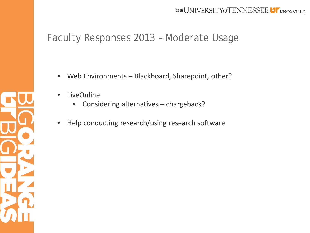### Faculty Responses 2013 – Moderate Usage

- Web Environments Blackboard, Sharepoint, other?
- **LiveOnline** 
	- Considering alternatives chargeback?
- Help conducting research/using research software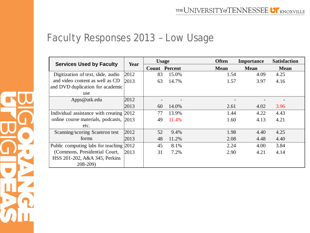# Faculty Responses 2013 – Low Usage

| <b>Services Used by Faculty</b>          | Year | <b>Usage</b> |                      | <b>Often</b> | <b>Importance</b> | <b>Satisfaction</b> |
|------------------------------------------|------|--------------|----------------------|--------------|-------------------|---------------------|
|                                          |      |              | <b>Count Percent</b> | <b>Mean</b>  | <b>Mean</b>       | <b>Mean</b>         |
| Digitization of text, slide, audio       | 2012 | 83           | 15.0%                | 1.54         | 4.09              | 4.25                |
| and video content as well as CD          | 2013 | 63           | 14.7%                | 1.57         | 3.97              | 4.16                |
| and DVD duplication for academic         |      |              |                      |              |                   |                     |
| use                                      |      |              |                      |              |                   |                     |
| Apps@utk.edu                             | 2012 |              |                      |              |                   |                     |
|                                          | 2013 | 60           | 14.0%                | 2.61         | 4.02              | 3.96                |
| Individual assistance with creating 2012 |      | 77           | 13.9%                | 1.44         | 4.22              | 4.43                |
| online course materials, podcasts, 2013  |      | 49           | 11.4%                | 1.60         | 4.13              | 4.21                |
| etc.                                     |      |              |                      |              |                   |                     |
| Scanning/scoring Scantron test           | 2012 | 52           | 9.4%                 | 1.98         | 4.40              | 4.25                |
| forms                                    | 2013 | 48           | 11.2%                | 2.08         | 4.48              | 4.40                |
| Public computing labs for teaching 2012  |      | 45           | 8.1%                 | 2.24         | 4.00              | 3.84                |
| (Commons, Presidential Court,            | 2013 | 31           | 7.2%                 | 2.90         | 4.21              | 4.14                |
| HSS 201-202, A&A 345, Perkins            |      |              |                      |              |                   |                     |
| $208 - 209$                              |      |              |                      |              |                   |                     |